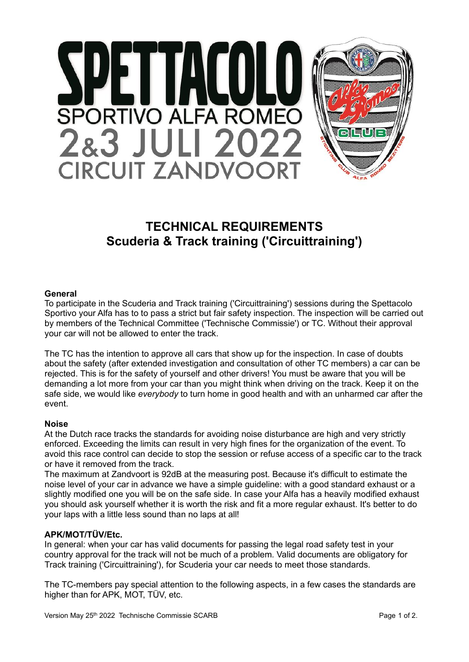

# **TECHNICAL REQUIREMENTS Scuderia & Track training ('Circuittraining')**

#### **General**

To participate in the Scuderia and Track training ('Circuittraining') sessions during the Spettacolo Sportivo your Alfa has to to pass a strict but fair safety inspection. The inspection will be carried out by members of the Technical Committee ('Technische Commissie') or TC. Without their approval your car will not be allowed to enter the track.

The TC has the intention to approve all cars that show up for the inspection. In case of doubts about the safety (after extended investigation and consultation of other TC members) a car can be rejected. This is for the safety of yourself and other drivers! You must be aware that you will be demanding a lot more from your car than you might think when driving on the track. Keep it on the safe side, we would like *everybody* to turn home in good health and with an unharmed car after the event.

#### **Noise**

At the Dutch race tracks the standards for avoiding noise disturbance are high and very strictly enforced. Exceeding the limits can result in very high fines for the organization of the event. To avoid this race control can decide to stop the session or refuse access of a specific car to the track or have it removed from the track.

The maximum at Zandvoort is 92dB at the measuring post. Because it's difficult to estimate the noise level of your car in advance we have a simple guideline: with a good standard exhaust or a slightly modified one you will be on the safe side. In case your Alfa has a heavily modified exhaust you should ask yourself whether it is worth the risk and fit a more regular exhaust. It's better to do your laps with a little less sound than no laps at all!

#### **APK/MOT/TÜV/Etc.**

In general: when your car has valid documents for passing the legal road safety test in your country approval for the track will not be much of a problem. Valid documents are obligatory for Track training ('Circuittraining'), for Scuderia your car needs to meet those standards.

The TC-members pay special attention to the following aspects, in a few cases the standards are higher than for APK, MOT, TÜV, etc.